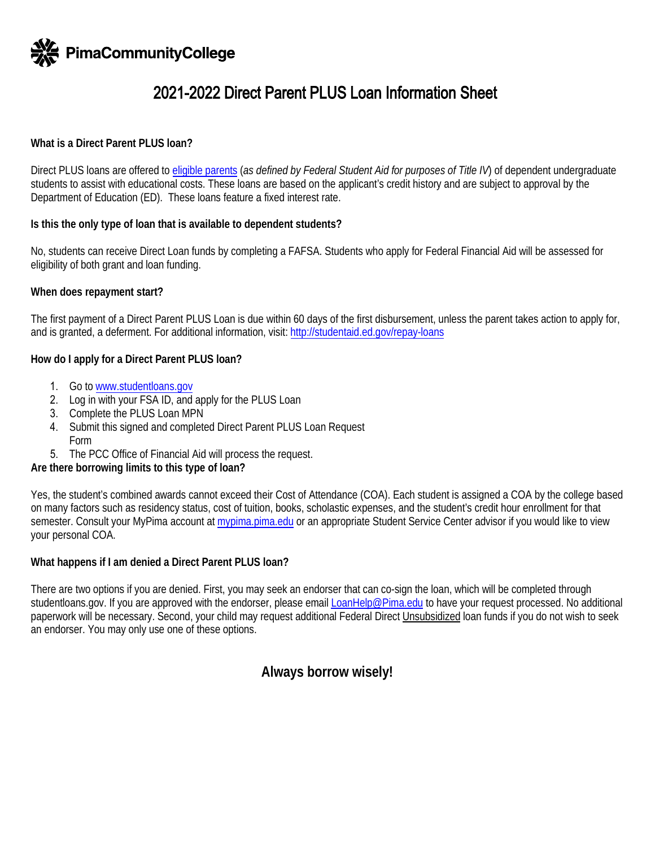

# 2021-2022 Direct Parent PLUS Loan Information Sheet

## **What is a Direct Parent PLUS loan?**

Direct PLUS loans are offered to [eligible parents](https://studentloans.gov/myDirectLoan/launchPLUS.action?plusType=parentPlus) (*as defined by Federal Student Aid for purposes of Title IV*) of dependent undergraduate students to assist with educational costs. These loans are based on the applicant's credit history and are subject to approval by the Department of Education (ED). These loans feature a fixed interest rate.

## **Is this the only type of loan that is available to dependent students?**

No, students can receive Direct Loan funds by completing a FAFSA. Students who apply for Federal Financial Aid will be assessed for eligibility of both grant and loan funding.

## **When does repayment start?**

The first payment of a Direct Parent PLUS Loan is due within 60 days of the first disbursement, unless the parent takes action to apply for, and is granted, a deferment. For additional information, visit[: http://studentaid.ed.gov/repay-loans](http://studentaid.ed.gov/repay-loans) 

## **How do I apply for a Direct Parent PLUS loan?**

- 1. Go t[o](http://www.studentloans.gov/) [www.studentloans.go](www.studentloans.gov)[v](http://www.studentloans.gov/)
- 2. Log in with your FSA ID, and apply for the PLUS Loan
- 3. Complete the PLUS Loan MPN
- 4. Submit this signed and completed Direct Parent PLUS Loan Request
	- Form
- 5. The PCC Office of Financial Aid will process the request.

## **Are there borrowing limits to this type of loan?**

Yes, the student's combined awards cannot exceed their Cost of Attendance (COA). Each student is assigned a COA by the college based on many factors such as residency status, cost of tuition, books, scholastic expenses, and the student's credit hour enrollment for that semester.Consult your MyPima account at [mypima.pima.edu](https://mypima.pima.edu) or an appropriate Student Service Center advisor if you would like to view your personal COA.

## **What happens if I am denied a Direct Parent PLUS loan?**

There are two options if you are denied. First, you may seek an endorser that can co-sign the loan, which will be completed through [studentloans.gov](https://studentloans.gov). If you are approved with the endorser, please emai[l LoanHelp@Pima.edu](mailto:LoanHelp@Pima.edu) to have your request processed. No additional paperwork will be necessary. Second, your child may request additional Federal Direct Unsubsidized loan funds if you do not wish to seek an endorser. You may only use one of these options.

## **Always borrow wisely!**